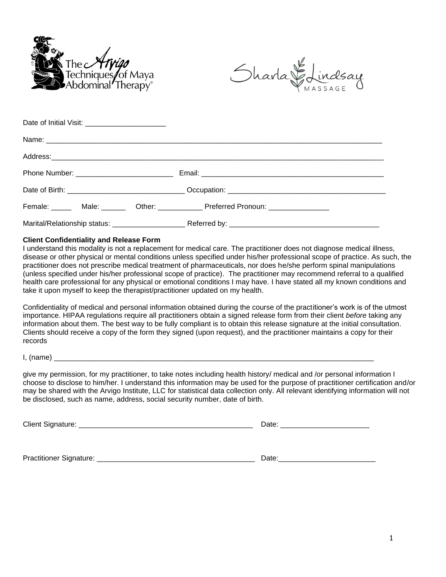



| Date of Initial Visit: _________________________ |  |                                                                                  |  |
|--------------------------------------------------|--|----------------------------------------------------------------------------------|--|
|                                                  |  |                                                                                  |  |
|                                                  |  |                                                                                  |  |
|                                                  |  |                                                                                  |  |
|                                                  |  |                                                                                  |  |
|                                                  |  | Female: _____ Male: ______ Other: ___________ Preferred Pronoun: _______________ |  |
|                                                  |  |                                                                                  |  |

#### **Client Confidentiality and Release Form**

I understand this modality is not a replacement for medical care. The practitioner does not diagnose medical illness, disease or other physical or mental conditions unless specified under his/her professional scope of practice. As such, the practitioner does not prescribe medical treatment of pharmaceuticals, nor does he/she perform spinal manipulations (unless specified under his/her professional scope of practice). The practitioner may recommend referral to a qualified health care professional for any physical or emotional conditions I may have. I have stated all my known conditions and take it upon myself to keep the therapist/practitioner updated on my health.

Confidentiality of medical and personal information obtained during the course of the practitioner's work is of the utmost importance. HIPAA regulations require all practitioners obtain a signed release form from their client *before* taking any information about them. The best way to be fully compliant is to obtain this release signature at the initial consultation. Clients should receive a copy of the form they signed (upon request), and the practitioner maintains a copy for their records

 $I, (name)$ 

give my permission, for my practitioner, to take notes including health history/ medical and /or personal information I choose to disclose to him/her. I understand this information may be used for the purpose of practitioner certification and/or may be shared with the Arvigo Institute, LLC for statistical data collection only. All relevant identifying information will not be disclosed, such as name, address, social security number, date of birth.

Client Signature: \_\_\_\_\_\_\_\_\_\_\_\_\_\_\_\_\_\_\_\_\_\_\_\_\_\_\_\_\_\_\_\_\_\_\_\_\_\_\_\_\_\_\_ Date: \_\_\_\_\_\_\_\_\_\_\_\_\_\_\_\_\_\_\_\_\_\_

Practitioner Signature: <br>
Date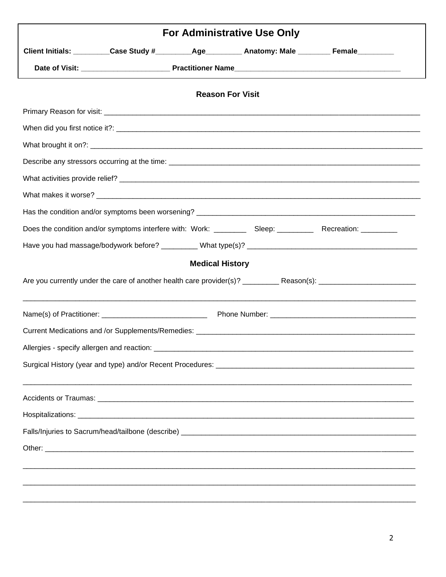| Client Initials: _________Case Study #_________Age_________ Anatomy: Male ________ Female_________<br><b>Reason For Visit</b><br><b>Medical History</b> |  |  |  |
|---------------------------------------------------------------------------------------------------------------------------------------------------------|--|--|--|
|                                                                                                                                                         |  |  |  |
|                                                                                                                                                         |  |  |  |
|                                                                                                                                                         |  |  |  |
|                                                                                                                                                         |  |  |  |
|                                                                                                                                                         |  |  |  |
|                                                                                                                                                         |  |  |  |
|                                                                                                                                                         |  |  |  |
|                                                                                                                                                         |  |  |  |
|                                                                                                                                                         |  |  |  |
|                                                                                                                                                         |  |  |  |
|                                                                                                                                                         |  |  |  |
|                                                                                                                                                         |  |  |  |
|                                                                                                                                                         |  |  |  |
|                                                                                                                                                         |  |  |  |
|                                                                                                                                                         |  |  |  |
|                                                                                                                                                         |  |  |  |
|                                                                                                                                                         |  |  |  |
|                                                                                                                                                         |  |  |  |
|                                                                                                                                                         |  |  |  |
|                                                                                                                                                         |  |  |  |
|                                                                                                                                                         |  |  |  |
|                                                                                                                                                         |  |  |  |
|                                                                                                                                                         |  |  |  |
|                                                                                                                                                         |  |  |  |
|                                                                                                                                                         |  |  |  |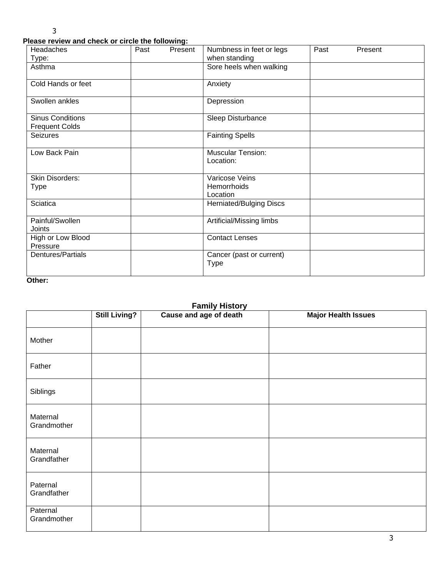### **Please review and check or circle the following:**

| <b>Headaches</b>                                 | Past | ∙ ⊃<br>Present | Numbness in feet or legs                  | Past | Present |
|--------------------------------------------------|------|----------------|-------------------------------------------|------|---------|
| Type:<br>Asthma                                  |      |                | when standing<br>Sore heels when walking  |      |         |
| Cold Hands or feet                               |      |                | Anxiety                                   |      |         |
| Swollen ankles                                   |      |                | Depression                                |      |         |
| <b>Sinus Conditions</b><br><b>Frequent Colds</b> |      |                | Sleep Disturbance                         |      |         |
| <b>Seizures</b>                                  |      |                | <b>Fainting Spells</b>                    |      |         |
| Low Back Pain                                    |      |                | <b>Muscular Tension:</b><br>Location:     |      |         |
| Skin Disorders:<br><b>Type</b>                   |      |                | Varicose Veins<br>Hemorrhoids<br>Location |      |         |
| <b>Sciatica</b>                                  |      |                | Herniated/Bulging Discs                   |      |         |
| Painful/Swollen<br>Joints                        |      |                | Artificial/Missing limbs                  |      |         |
| High or Low Blood<br>Pressure                    |      |                | <b>Contact Lenses</b>                     |      |         |
| Dentures/Partials                                |      |                | Cancer (past or current)<br>Type          |      |         |

### **Other:**

# **Family History**

|                         | <b>Still Living?</b> | Cause and age of death | <b>Major Health Issues</b> |
|-------------------------|----------------------|------------------------|----------------------------|
| Mother                  |                      |                        |                            |
| Father                  |                      |                        |                            |
| Siblings                |                      |                        |                            |
| Maternal<br>Grandmother |                      |                        |                            |
| Maternal<br>Grandfather |                      |                        |                            |
| Paternal<br>Grandfather |                      |                        |                            |
| Paternal<br>Grandmother |                      |                        |                            |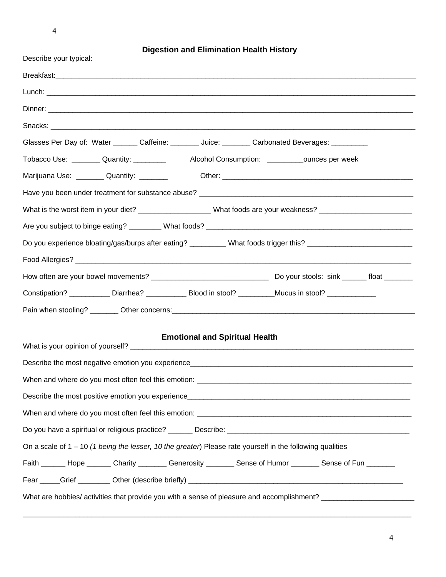4

**Digestion and Elimination Health History**

| Describe your typical:                                                                                            |
|-------------------------------------------------------------------------------------------------------------------|
|                                                                                                                   |
|                                                                                                                   |
|                                                                                                                   |
|                                                                                                                   |
| Glasses Per Day of: Water _______ Caffeine: _______ Juice: _______ Carbonated Beverages: _________                |
| Tobacco Use: ________ Quantity: _________ Alcohol Consumption: _________ounces per week                           |
| Marijuana Use: __________ Quantity: ________                                                                      |
|                                                                                                                   |
| What is the worst item in your diet? ___________________What foods are your weakness? ________________________    |
|                                                                                                                   |
| Do you experience bloating/gas/burps after eating? _________ What foods trigger this? ________________________    |
|                                                                                                                   |
|                                                                                                                   |
| Constipation? ____________ Diarrhea? ____________ Blood in stool? _________Mucus in stool? ______________         |
|                                                                                                                   |
|                                                                                                                   |
| <b>Emotional and Spiritual Health</b>                                                                             |
|                                                                                                                   |
| When and where do you most often feel this emotion:                                                               |
|                                                                                                                   |
|                                                                                                                   |
|                                                                                                                   |
| On a scale of $1 - 10$ (1 being the lesser, 10 the greater) Please rate yourself in the following qualities       |
| Faith ______ Hope ______ Charity _______ Generosity _______ Sense of Humor _______ Sense of Fun _______           |
|                                                                                                                   |
| What are hobbies/ activities that provide you with a sense of pleasure and accomplishment? ______________________ |

\_\_\_\_\_\_\_\_\_\_\_\_\_\_\_\_\_\_\_\_\_\_\_\_\_\_\_\_\_\_\_\_\_\_\_\_\_\_\_\_\_\_\_\_\_\_\_\_\_\_\_\_\_\_\_\_\_\_\_\_\_\_\_\_\_\_\_\_\_\_\_\_\_\_\_\_\_\_\_\_\_\_\_\_\_\_\_\_\_\_\_\_\_\_\_\_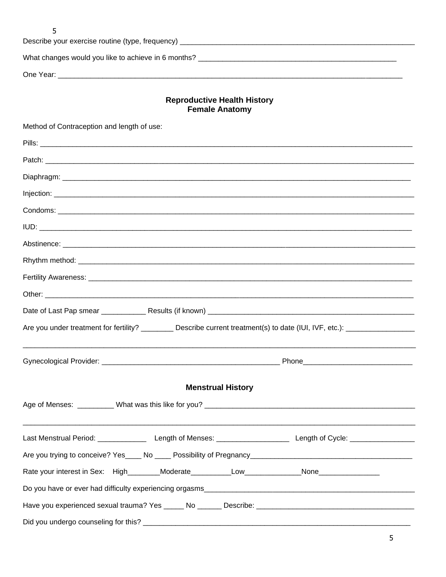| Describe your exercise routine (type, frequency) _______________________________ |  |
|----------------------------------------------------------------------------------|--|
| What changes would you like to achieve in 6 months?                              |  |
| One Year:                                                                        |  |

# **Reproductive Health History<br>Female Anatomy**

| Method of Contraception and length of use:                                                                                         |  |
|------------------------------------------------------------------------------------------------------------------------------------|--|
|                                                                                                                                    |  |
|                                                                                                                                    |  |
|                                                                                                                                    |  |
|                                                                                                                                    |  |
|                                                                                                                                    |  |
|                                                                                                                                    |  |
|                                                                                                                                    |  |
|                                                                                                                                    |  |
|                                                                                                                                    |  |
|                                                                                                                                    |  |
|                                                                                                                                    |  |
| Are you under treatment for fertility? ___________ Describe current treatment(s) to date (IUI, IVF, etc.): _______________________ |  |
|                                                                                                                                    |  |
| <b>Menstrual History</b>                                                                                                           |  |
|                                                                                                                                    |  |
|                                                                                                                                    |  |
|                                                                                                                                    |  |
| Rate your interest in Sex: High________Moderate___________Low_____________None_____________________                                |  |
|                                                                                                                                    |  |
|                                                                                                                                    |  |
|                                                                                                                                    |  |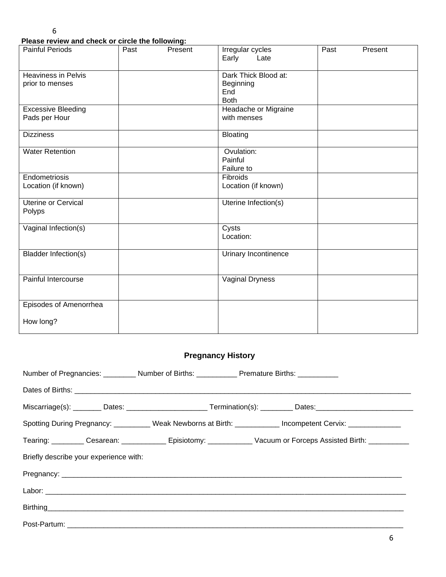**Please review and check or circle the following:**

| <b>Painful Periods</b>                        | Past | Present | Irregular cycles<br>Early<br>Late                       | Past | Present |
|-----------------------------------------------|------|---------|---------------------------------------------------------|------|---------|
| <b>Heaviness in Pelvis</b><br>prior to menses |      |         | Dark Thick Blood at:<br>Beginning<br>End<br><b>Both</b> |      |         |
| <b>Excessive Bleeding</b><br>Pads per Hour    |      |         | Headache or Migraine<br>with menses                     |      |         |
| <b>Dizziness</b>                              |      |         | <b>Bloating</b>                                         |      |         |
| <b>Water Retention</b>                        |      |         | Ovulation:<br>Painful<br>Failure to                     |      |         |
| Endometriosis<br>Location (if known)          |      |         | Fibroids<br>Location (if known)                         |      |         |
| <b>Uterine or Cervical</b><br>Polyps          |      |         | Uterine Infection(s)                                    |      |         |
| Vaginal Infection(s)                          |      |         | Cysts<br>Location:                                      |      |         |
| <b>Bladder Infection(s)</b>                   |      |         | Urinary Incontinence                                    |      |         |
| Painful Intercourse                           |      |         | Vaginal Dryness                                         |      |         |
| Episodes of Amenorrhea                        |      |         |                                                         |      |         |
| How long?                                     |      |         |                                                         |      |         |

# **Pregnancy History**

| Number of Pregnancies: __________ Number of Births: ____________ Premature Births: ___________ |                                                                                                                      |
|------------------------------------------------------------------------------------------------|----------------------------------------------------------------------------------------------------------------------|
|                                                                                                |                                                                                                                      |
|                                                                                                | Miscarriage(s): ________ Dates: _________________________Termination(s): __________Dates: ____________________       |
|                                                                                                | Spotting During Pregnancy: _________ Weak Newborns at Birth: _________ Incompetent Cervix: __________                |
|                                                                                                | Tearing: __________ Cesarean: ______________ Episiotomy: ______________ Vacuum or Forceps Assisted Birth: __________ |
| Briefly describe your experience with:                                                         |                                                                                                                      |
|                                                                                                |                                                                                                                      |
|                                                                                                |                                                                                                                      |
|                                                                                                |                                                                                                                      |
|                                                                                                |                                                                                                                      |